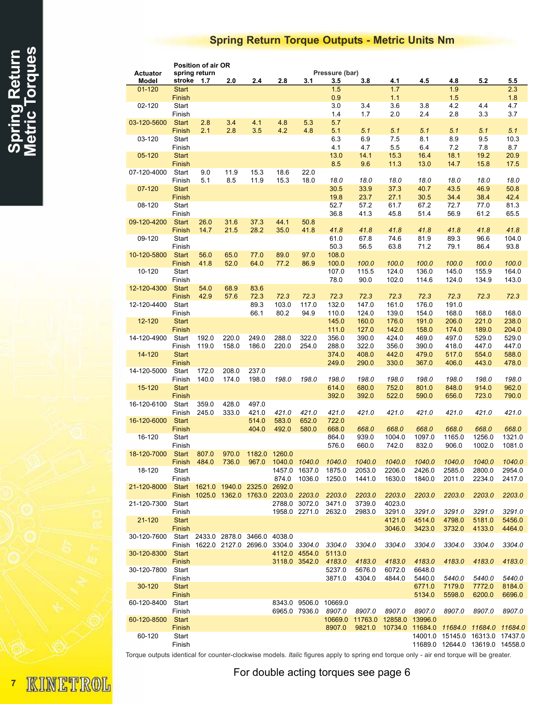## Spring Return Torque Outputs - Metric Units Nm

|                 | Position of air OR     |               |                                    |               |               |                                           |                  |                  |                                 |                  |                  |                                             |                  |
|-----------------|------------------------|---------------|------------------------------------|---------------|---------------|-------------------------------------------|------------------|------------------|---------------------------------|------------------|------------------|---------------------------------------------|------------------|
| <b>Actuator</b> |                        | spring return |                                    |               |               |                                           | Pressure (bar)   |                  |                                 |                  |                  |                                             |                  |
| Model           | stroke                 | 1.7           | 2.0                                | 2.4           | 2.8           | 3.1                                       | 3.5              | 3.8              | 4.1                             | 4.5              | 4.8              | 5.2                                         | 5.5              |
| $01 - 120$      | <b>Start</b><br>Finish |               |                                    |               |               |                                           | 1.5<br>0.9       |                  | 1.7<br>1.1                      |                  | 1.9<br>1.5       |                                             | 2.3<br>1.8       |
| 02-120          | Start                  |               |                                    |               |               |                                           | 3.0              | 3.4              | 3.6                             | 3.8              | 4.2              | 4.4                                         | 4.7              |
|                 | Finish                 |               |                                    |               |               |                                           | 1.4              | 1.7              | 2.0                             | 2.4              | 2.8              | 3.3                                         | 3.7              |
| 03-120-5600     | <b>Start</b>           | 2.8           | 3.4                                | 4.1           | 4.8           | 5.3                                       | 5.7              |                  |                                 |                  |                  |                                             |                  |
|                 | Finish                 | 2.1           | 2.8                                | 3.5           | 4.2           | 4.8                                       | 5.1              | 5.1              | 5.1                             | 5.1              | 5.1              | 5.1                                         | 5.1              |
| 03-120          | Start                  |               |                                    |               |               |                                           | 6.3              | 6.9              | 7.5                             | 8.1              | 8.9              | 9.5                                         | 10.3             |
|                 | Finish                 |               |                                    |               |               |                                           | 4.1              | 4.7              | 5.5                             | 6.4              | 7.2              | 7.8                                         | 8.7              |
| 05-120          | <b>Start</b>           |               |                                    |               |               |                                           | 13.0             | 14.1             | 15.3                            | 16.4             | 18.1             | 19.2                                        | 20.9             |
|                 | Finish                 |               |                                    |               |               |                                           | 8.5              | 9.6              | 11.3                            | 13.0             | 14.7             | 15.8                                        | 17.5             |
| 07-120-4000     | Start                  | 9.0           | 11.9                               | 15.3          | 18.6          | 22.0                                      |                  |                  |                                 |                  |                  |                                             |                  |
|                 | Finish                 | 5.1           | 8.5                                | 11.9          | 15.3          | 18.0                                      | 18.0             | 18.0             | 18.0                            | 18.0             | 18.0             | 18.0                                        | 18.0             |
| 07-120          | <b>Start</b><br>Finish |               |                                    |               |               |                                           | 30.5<br>19.8     | 33.9<br>23.7     | 37.3<br>27.1                    | 40.7<br>30.5     | 43.5<br>34.4     | 46.9<br>38.4                                | 50.8<br>42.4     |
| 08-120          | Start                  |               |                                    |               |               |                                           | 52.7             | 57.2             | 61.7                            | 67.2             | 72.7             | 77.0                                        | 81.3             |
|                 | Finish                 |               |                                    |               |               |                                           | 36.8             | 41.3             | 45.8                            | 51.4             | 56.9             | 61.2                                        | 65.5             |
| 09-120-4200     | <b>Start</b>           | 26.0          | 31.6                               | 37.3          | 44.1          | 50.8                                      |                  |                  |                                 |                  |                  |                                             |                  |
|                 | Finish                 | 14.7          | 21.5                               | 28.2          | 35.0          | 41.8                                      | 41.8             | 41.8             | 41.8                            | 41.8             | 41.8             | 41.8                                        | 41.8             |
| 09-120          | Start                  |               |                                    |               |               |                                           | 61.0             | 67.8             | 74.6                            | 81.9             | 89.3             | 96.6                                        | 104.0            |
|                 | Finish                 |               |                                    |               |               |                                           | 50.3             | 56.5             | 63.8                            | 71.2             | 79.1             | 86.4                                        | 93.8             |
| 10-120-5800     | <b>Start</b>           | 56.0          | 65.0                               | 77.0          | 89.0          | 97.0                                      | 108.0            |                  |                                 |                  |                  |                                             |                  |
|                 | Finish                 | 41.8          | 52.0                               | 64.0          | 77.2          | 86.9                                      | 100.0            | 100.0            | 100.0                           | 100.0            | 100.0            | 100.0                                       | 100.0            |
| 10-120          | Start                  |               |                                    |               |               |                                           | 107.0            | 115.5            | 124.0                           | 136.0            | 145.0            | 155.9                                       | 164.0            |
|                 | Finish<br><b>Start</b> | 54.0          | 68.9                               | 83.6          |               |                                           | 78.0             | 90.0             | 102.0                           | 114.6            | 124.0            | 134.9                                       | 143.0            |
| 12-120-4300     | Finish                 | 42.9          | 57.6                               | 72.3          | 72.3          | 72.3                                      | 72.3             | 72.3             | 72.3                            | 72.3             | 72.3             | 72.3                                        | 72.3             |
| 12-120-4400     | Start                  |               |                                    | 89.3          | 103.0         | 117.0                                     | 132.0            | 147.0            | 161.0                           | 176.0            | 191.0            |                                             |                  |
|                 | Finish                 |               |                                    | 66.1          | 80.2          | 94.9                                      | 110.0            | 124.0            | 139.0                           | 154.0            | 168.0            | 168.0                                       | 168.0            |
| 12-120          | <b>Start</b>           |               |                                    |               |               |                                           | 145.0            | 160.0            | 176.0                           | 191.0            | 206.0            | 221.0                                       | 238.0            |
|                 | Finish                 |               |                                    |               |               |                                           | 111.0            | 127.0            | 142.0                           | 158.0            | 174.0            | 189.0                                       | 204.0            |
| 14-120-4900     | Start                  | 192.0         | 220.0                              | 249.0         | 288.0         | 322.0                                     | 356.0            | 390.0            | 424.0                           | 469.0            | 497.0            | 529.0                                       | 529.0            |
|                 | Finish                 | 119.0         | 158.0                              | 186.0         | 220.0         | 254.0                                     | 288.0            | 322.0            | 356.0                           | 390.0            | 418.0            | 447.0                                       | 447.0            |
| 14-120          | <b>Start</b>           |               |                                    |               |               |                                           | 374.0            | 408.0            | 442.0                           | 479.0            | 517.0            | 554.0                                       | 588.0            |
|                 | Finish                 |               |                                    |               |               |                                           | 249.0            | 290.0            | 330.0                           | 367.0            | 406.0            | 443.0                                       | 478.0            |
| 14-120-5000     | Start                  | 172.0         | 208.0                              | 237.0         |               |                                           |                  |                  |                                 |                  |                  |                                             |                  |
| 15-120          | Finish<br><b>Start</b> | 140.0         | 174.0                              | 198.0         | 198.0         | 198.0                                     | 198.0<br>614.0   | 198.0<br>680.0   | 198.0<br>752.0                  | 198.0<br>801.0   | 198.0<br>848.0   | 198.0<br>914.0                              | 198.0<br>962.0   |
|                 | Finish                 |               |                                    |               |               |                                           | 392.0            | 392.0            | 522.0                           | 590.0            | 656.0            | 723.0                                       | 790.0            |
| 16-120-6100     | Start                  | 359.0         | 428.0                              | 497.0         |               |                                           |                  |                  |                                 |                  |                  |                                             |                  |
|                 | Finish                 | 245.0         | 333.0                              | 421.0         | 421.0         | 421.0                                     | 421.0            | 421.0            | 421.0                           | 421.0            | 421.0            | 421.0                                       | 421.0            |
| 16-120-6000     | <b>Start</b>           |               |                                    | 514.0         | 583.0         | 652.0                                     | 722.0            |                  |                                 |                  |                  |                                             |                  |
|                 | Finish                 |               |                                    | 404.0         | 492.0         | 580.0                                     | 668.0            | 668.0            | 668.0                           | 668.0            | 668.0            | 668.0                                       | 668.0            |
| 16-120          | Start                  |               |                                    |               |               |                                           | 864.0            | 939.0            | 1004.0                          | 1097.0           | 1165.0           | 1256.0                                      | 1321.0           |
|                 | Finish                 |               |                                    |               |               |                                           | 576.0            | 660.0            | 742.0                           | 832.0            | 906.0            | 1002.0                                      | 1081.0           |
| 18-120-7000     | <b>Start</b>           | 807.0         | 970.0                              | 1182.0 1260.0 |               |                                           |                  |                  |                                 |                  |                  |                                             |                  |
|                 | Finish                 | 484.0         | 736.0                              | 967.0         | 1040.0 1040.0 |                                           | 1040.0           | 1040.0           | 1040.0                          | 1040.0           | 1040.0           | 1040.0                                      | 1040.0           |
| 18-120          | Start<br>Finish        |               |                                    |               | 874.0         | 1457.0 1637.0<br>1036.0                   | 1875.0<br>1250.0 | 2053.0<br>1441.0 | 2206.0<br>1630.0                | 2426.0<br>1840.0 | 2585.0<br>2011.0 | 2800.0<br>2234.0                            | 2954.0<br>2417.0 |
| 21-120-8000     | Start                  |               | 1621.0 1940.0 2325.0 2692.0        |               |               |                                           |                  |                  |                                 |                  |                  |                                             |                  |
|                 | Finish                 |               | 1025.0 1362.0 1763.0 2203.0 2203.0 |               |               |                                           | 2203.0           | 2203.0           | 2203.0                          | 2203.0           | 2203.0           | 2203.0                                      | 2203.0           |
| 21-120-7300     | Start                  |               |                                    |               |               | 2788.0 3072.0                             | 3471.0           | 3739.0           | 4023.0                          |                  |                  |                                             |                  |
|                 | Finish                 |               |                                    |               |               | 1958.0 2271.0                             | 2632.0           | 2983.0           | 3291.0                          | 3291.0           | 3291.0           | 3291.0                                      | 3291.0           |
| 21-120          | <b>Start</b>           |               |                                    |               |               |                                           |                  |                  | 4121.0                          | 4514.0           | 4798.0           | 5181.0                                      | 5456.0           |
|                 | Finish                 |               |                                    |               |               |                                           |                  |                  | 3046.0                          | 3423.0           | 3732.0           | 4133.0                                      | 4464.0           |
| 30-120-7600     |                        |               | Start 2433.0 2878.0 3466.0 4038.0  |               |               |                                           |                  |                  |                                 |                  |                  |                                             |                  |
|                 |                        |               |                                    |               |               | Finish 1622.0 2127.0 2696.0 3304.0 3304.0 | 3304.0           | 3304.0           | 3304.0                          | 3304.0           | 3304.0           | 3304.0                                      | 3304.0           |
| 30-120-8300     | <b>Start</b><br>Finish |               |                                    |               |               | 4112.0 4554.0                             | 5113.0           |                  | 4183.0                          | 4183.0           | 4183.0           |                                             | 4183.0           |
| 30-120-7800     | Start                  |               |                                    |               |               | 3118.0 3542.0                             | 4183.0<br>5237.0 | 4183.0<br>5676.0 | 6072.0                          | 6648.0           |                  | 4183.0                                      |                  |
|                 | Finish                 |               |                                    |               |               |                                           | 3871.0           | 4304.0           | 4844.0                          | 5440.0           | 5440.0           | 5440.0                                      | 5440.0           |
| 30-120          | <b>Start</b>           |               |                                    |               |               |                                           |                  |                  |                                 | 6771.0           | 7179.0           | 7772.0                                      | 8184.0           |
|                 | Finish                 |               |                                    |               |               |                                           |                  |                  |                                 | 5134.0           | 5598.0           | 6200.0                                      | 6696.0           |
| 60-120-8400     | Start                  |               |                                    |               |               | 8343.0 9506.0                             | 10669.0          |                  |                                 |                  |                  |                                             |                  |
|                 | Finish                 |               |                                    |               |               | 6965.0 7936.0                             | 8907.0           | 8907.0           | 8907.0                          | 8907.0           | 8907.0           | 8907.0                                      | 8907.0           |
| 60-120-8500     | Start                  |               |                                    |               |               |                                           |                  |                  | 10669.0 11763.0 12858.0 13996.0 |                  |                  |                                             |                  |
|                 | Finish                 |               |                                    |               |               |                                           | 8907.0           | 9821.0           |                                 |                  |                  | 10734.0  11684.0  11684.0  11684.0  11684.0 |                  |
| 60-120          | Start                  |               |                                    |               |               |                                           |                  |                  |                                 |                  |                  | 14001.0 15145.0 16313.0 17437.0             |                  |
|                 | Finish                 |               |                                    |               |               |                                           |                  |                  |                                 |                  |                  | 11689.0 12644.0 13619.0 14558.0             |                  |

Torque outputs identical for counter-clockwise models. Italic figures apply to spring end torque only - air end torque will be greater.

KINETROL 7